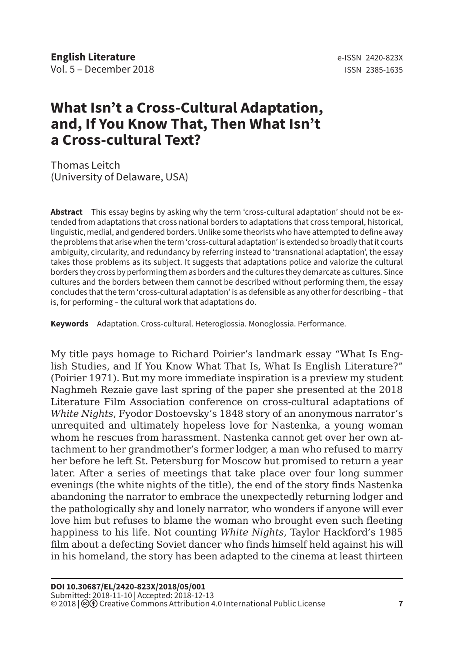## **What Isn't a Cross-Cultural Adaptation, and, If You Know That, Then What Isn't a Cross-cultural Text?**

Thomas Leitch (University of Delaware, USA)

**Abstract** This essay begins by asking why the term 'cross-cultural adaptation' should not be extended from adaptations that cross national borders to adaptations that cross temporal, historical, linguistic, medial, and gendered borders. Unlike some theorists who have attempted to define away the problems that arise when the term 'cross-cultural adaptation' is extended so broadly that it courts ambiguity, circularity, and redundancy by referring instead to 'transnational adaptation', the essay takes those problems as its subject. It suggests that adaptations police and valorize the cultural borders they cross by performing them as borders and the cultures they demarcate as cultures. Since cultures and the borders between them cannot be described without performing them, the essay concludes that the term 'cross-cultural adaptation' is as defensible as any other for describing – that is, for performing – the cultural work that adaptations do.

**Keywords** Adaptation. Cross-cultural. Heteroglossia. Monoglossia. Performance.

My title pays homage to Richard Poirier's landmark essay "What Is English Studies, and If You Know What That Is, What Is English Literature?" (Poirier 1971). But my more immediate inspiration is a preview my student Naghmeh Rezaie gave last spring of the paper she presented at the 2018 Literature Film Association conference on cross-cultural adaptations of *White Nights*, Fyodor Dostoevsky's 1848 story of an anonymous narrator's unrequited and ultimately hopeless love for Nastenka, a young woman whom he rescues from harassment. Nastenka cannot get over her own attachment to her grandmother's former lodger, a man who refused to marry her before he left St. Petersburg for Moscow but promised to return a year later. After a series of meetings that take place over four long summer evenings (the white nights of the title), the end of the story finds Nastenka abandoning the narrator to embrace the unexpectedly returning lodger and the pathologically shy and lonely narrator, who wonders if anyone will ever love him but refuses to blame the woman who brought even such fleeting happiness to his life. Not counting *White Nights*, Taylor Hackford's 1985 film about a defecting Soviet dancer who finds himself held against his will in his homeland, the story has been adapted to the cinema at least thirteen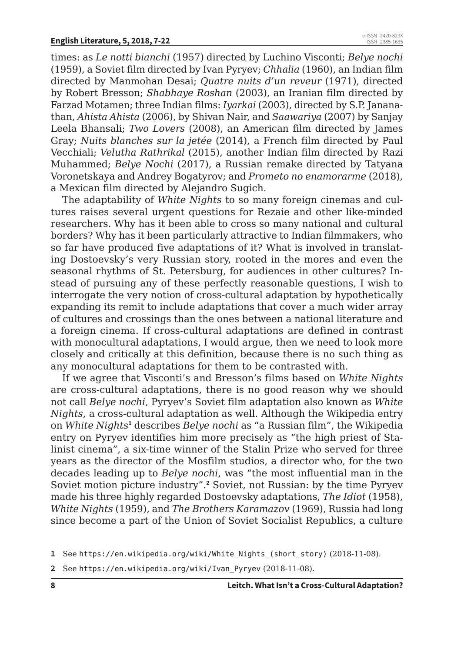times: as *Le notti bianchi* (1957) directed by Luchino Visconti; *Belye nochi*  (1959), a Soviet film directed by Ivan Pyryev; *Chhalia* (1960), an Indian film directed by Manmohan Desai; *Quatre nuits d'un reveur* (1971), directed by Robert Bresson; *Shabhaye Roshan* (2003), an Iranian film directed by Farzad Motamen; three Indian films: *Iyarkai* (2003), directed by S.P. Jananathan, *Ahista Ahista* (2006), by Shivan Nair, and *Saawariya* (2007) by Sanjay Leela Bhansali; *Two Lovers* (2008), an American film directed by James Gray; *Nuits blanches sur la jetée* (2014), a French film directed by Paul Vecchiali; *Velutha Rathrikal* (2015), another Indian film directed by Razi Muhammed; *Belye Nochi* (2017), a Russian remake directed by Tatyana Voronetskaya and Andrey Bogatyrov; and *Prometo no enamorarme* (2018), a Mexican film directed by Alejandro Sugich.

The adaptability of *White Nights* to so many foreign cinemas and cultures raises several urgent questions for Rezaie and other like-minded researchers. Why has it been able to cross so many national and cultural borders? Why has it been particularly attractive to Indian filmmakers, who so far have produced five adaptations of it? What is involved in translating Dostoevsky's very Russian story, rooted in the mores and even the seasonal rhythms of St. Petersburg, for audiences in other cultures? Instead of pursuing any of these perfectly reasonable questions, I wish to interrogate the very notion of cross-cultural adaptation by hypothetically expanding its remit to include adaptations that cover a much wider array of cultures and crossings than the ones between a national literature and a foreign cinema. If cross-cultural adaptations are defined in contrast with monocultural adaptations, I would argue, then we need to look more closely and critically at this definition, because there is no such thing as any monocultural adaptations for them to be contrasted with.

If we agree that Visconti's and Bresson's films based on *White Nights* are cross-cultural adaptations, there is no good reason why we should not call *Belye nochi*, Pyryev's Soviet film adaptation also known as *White Nights*, a cross-cultural adaptation as well. Although the Wikipedia entry on *White Nights***<sup>1</sup>** describes *Belye nochi* as "a Russian film", the Wikipedia entry on Pyryev identifies him more precisely as "the high priest of Stalinist cinema", a six-time winner of the Stalin Prize who served for three years as the director of the Mosfilm studios, a director who, for the two decades leading up to *Belye nochi*, was "the most influential man in the Soviet motion picture industry".**<sup>2</sup>** Soviet, not Russian: by the time Pyryev made his three highly regarded Dostoevsky adaptations, *The Idiot* (1958), *White Nights* (1959), and *The Brothers Karamazov* (1969), Russia had long since become a part of the Union of Soviet Socialist Republics, a culture

**2** See https://en.wikipedia.org/wiki/Ivan\_Pyryev (2018-11-08).

**<sup>1</sup>** See https://en.wikipedia.org/wiki/White\_Nights\_(short\_story) (2018-11-08).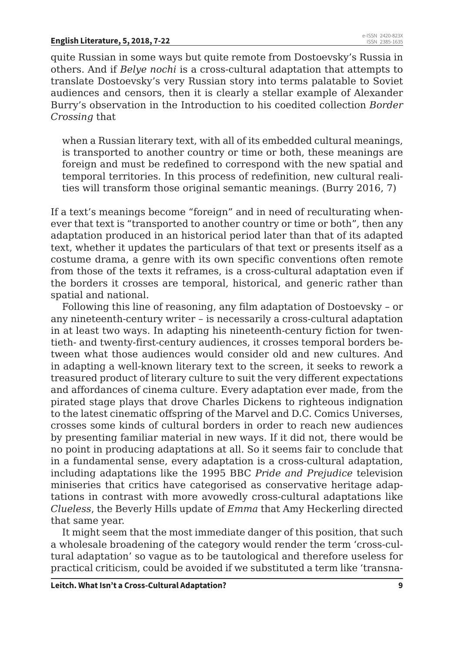quite Russian in some ways but quite remote from Dostoevsky's Russia in others. And if *Belye nochi* is a cross-cultural adaptation that attempts to translate Dostoevsky's very Russian story into terms palatable to Soviet audiences and censors, then it is clearly a stellar example of Alexander Burry's observation in the Introduction to his coedited collection *Border Crossing* that

when a Russian literary text, with all of its embedded cultural meanings, is transported to another country or time or both, these meanings are foreign and must be redefined to correspond with the new spatial and temporal territories. In this process of redefinition, new cultural realities will transform those original semantic meanings. (Burry 2016, 7)

If a text's meanings become "foreign" and in need of reculturating whenever that text is "transported to another country or time or both", then any adaptation produced in an historical period later than that of its adapted text, whether it updates the particulars of that text or presents itself as a costume drama, a genre with its own specific conventions often remote from those of the texts it reframes, is a cross-cultural adaptation even if the borders it crosses are temporal, historical, and generic rather than spatial and national.

Following this line of reasoning, any film adaptation of Dostoevsky – or any nineteenth-century writer – is necessarily a cross-cultural adaptation in at least two ways. In adapting his nineteenth-century fiction for twentieth- and twenty-first-century audiences, it crosses temporal borders between what those audiences would consider old and new cultures. And in adapting a well-known literary text to the screen, it seeks to rework a treasured product of literary culture to suit the very different expectations and affordances of cinema culture. Every adaptation ever made, from the pirated stage plays that drove Charles Dickens to righteous indignation to the latest cinematic offspring of the Marvel and D.C. Comics Universes, crosses some kinds of cultural borders in order to reach new audiences by presenting familiar material in new ways. If it did not, there would be no point in producing adaptations at all. So it seems fair to conclude that in a fundamental sense, every adaptation is a cross-cultural adaptation, including adaptations like the 1995 BBC *Pride and Prejudice* television miniseries that critics have categorised as conservative heritage adaptations in contrast with more avowedly cross-cultural adaptations like *Clueless*, the Beverly Hills update of *Emma* that Amy Heckerling directed that same year.

It might seem that the most immediate danger of this position, that such a wholesale broadening of the category would render the term 'cross-cultural adaptation' so vague as to be tautological and therefore useless for practical criticism, could be avoided if we substituted a term like 'transna-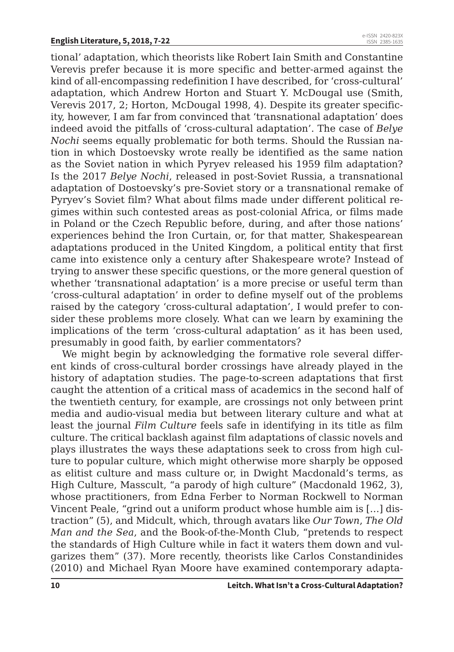tional' adaptation, which theorists like Robert Iain Smith and Constantine Verevis prefer because it is more specific and better-armed against the kind of all-encompassing redefinition I have described, for 'cross-cultural' adaptation, which Andrew Horton and Stuart Y. McDougal use (Smith, Verevis 2017, 2; Horton, McDougal 1998, 4). Despite its greater specificity, however, I am far from convinced that 'transnational adaptation' does indeed avoid the pitfalls of 'cross-cultural adaptation'. The case of *Belye Nochi* seems equally problematic for both terms. Should the Russian nation in which Dostoevsky wrote really be identified as the same nation as the Soviet nation in which Pyryev released his 1959 film adaptation? Is the 2017 *Belye Nochi*, released in post-Soviet Russia, a transnational adaptation of Dostoevsky's pre-Soviet story or a transnational remake of Pyryev's Soviet film? What about films made under different political regimes within such contested areas as post-colonial Africa, or films made in Poland or the Czech Republic before, during, and after those nations' experiences behind the Iron Curtain, or, for that matter, Shakespearean adaptations produced in the United Kingdom, a political entity that first came into existence only a century after Shakespeare wrote? Instead of trying to answer these specific questions, or the more general question of whether 'transnational adaptation' is a more precise or useful term than 'cross-cultural adaptation' in order to define myself out of the problems raised by the category 'cross-cultural adaptation', I would prefer to consider these problems more closely. What can we learn by examining the implications of the term 'cross-cultural adaptation' as it has been used, presumably in good faith, by earlier commentators?

We might begin by acknowledging the formative role several different kinds of cross-cultural border crossings have already played in the history of adaptation studies. The page-to-screen adaptations that first caught the attention of a critical mass of academics in the second half of the twentieth century, for example, are crossings not only between print media and audio-visual media but between literary culture and what at least the journal *Film Culture* feels safe in identifying in its title as film culture. The critical backlash against film adaptations of classic novels and plays illustrates the ways these adaptations seek to cross from high culture to popular culture, which might otherwise more sharply be opposed as elitist culture and mass culture or, in Dwight Macdonald's terms, as High Culture, Masscult, "a parody of high culture" (Macdonald 1962, 3), whose practitioners, from Edna Ferber to Norman Rockwell to Norman Vincent Peale, "grind out a uniform product whose humble aim is […] distraction" (5), and Midcult, which, through avatars like *Our Town*, *The Old Man and the Sea*, and the Book-of-the-Month Club, "pretends to respect the standards of High Culture while in fact it waters them down and vulgarizes them" (37). More recently, theorists like Carlos Constandinides (2010) and Michael Ryan Moore have examined contemporary adapta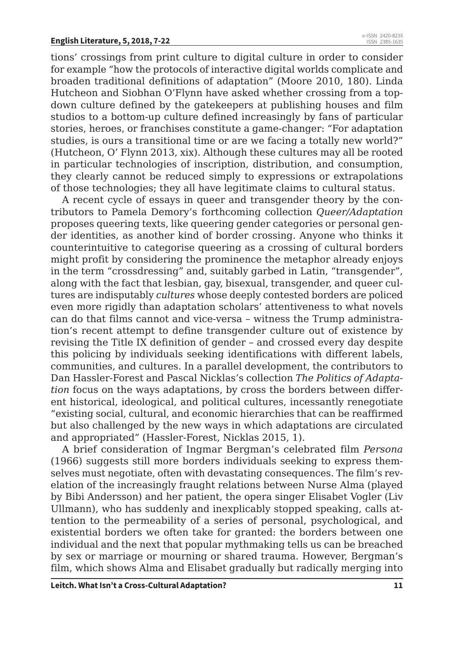tions' crossings from print culture to digital culture in order to consider for example "how the protocols of interactive digital worlds complicate and broaden traditional definitions of adaptation" (Moore 2010, 180). Linda Hutcheon and Siobhan O'Flynn have asked whether crossing from a topdown culture defined by the gatekeepers at publishing houses and film studios to a bottom-up culture defined increasingly by fans of particular stories, heroes, or franchises constitute a game-changer: "For adaptation studies, is ours a transitional time or are we facing a totally new world?" (Hutcheon, O' Flynn 2013, xix). Although these cultures may all be rooted in particular technologies of inscription, distribution, and consumption, they clearly cannot be reduced simply to expressions or extrapolations of those technologies; they all have legitimate claims to cultural status.

A recent cycle of essays in queer and transgender theory by the contributors to Pamela Demory's forthcoming collection *Queer/Adaptation*  proposes queering texts, like queering gender categories or personal gender identities, as another kind of border crossing. Anyone who thinks it counterintuitive to categorise queering as a crossing of cultural borders might profit by considering the prominence the metaphor already enjoys in the term "crossdressing" and, suitably garbed in Latin, "transgender", along with the fact that lesbian, gay, bisexual, transgender, and queer cultures are indisputably *cultures* whose deeply contested borders are policed even more rigidly than adaptation scholars' attentiveness to what novels can do that films cannot and vice-versa – witness the Trump administration's recent attempt to define transgender culture out of existence by revising the Title IX definition of gender – and crossed every day despite this policing by individuals seeking identifications with different labels, communities, and cultures. In a parallel development, the contributors to Dan Hassler-Forest and Pascal Nicklas's collection *The Politics of Adaptation* focus on the ways adaptations, by cross the borders between different historical, ideological, and political cultures, incessantly renegotiate "existing social, cultural, and economic hierarchies that can be reaffirmed but also challenged by the new ways in which adaptations are circulated and appropriated" (Hassler-Forest, Nicklas 2015, 1).

A brief consideration of Ingmar Bergman's celebrated film *Persona* (1966) suggests still more borders individuals seeking to express themselves must negotiate, often with devastating consequences. The film's revelation of the increasingly fraught relations between Nurse Alma (played by Bibi Andersson) and her patient, the opera singer Elisabet Vogler (Liv Ullmann), who has suddenly and inexplicably stopped speaking, calls attention to the permeability of a series of personal, psychological, and existential borders we often take for granted: the borders between one individual and the next that popular mythmaking tells us can be breached by sex or marriage or mourning or shared trauma. However, Bergman's film, which shows Alma and Elisabet gradually but radically merging into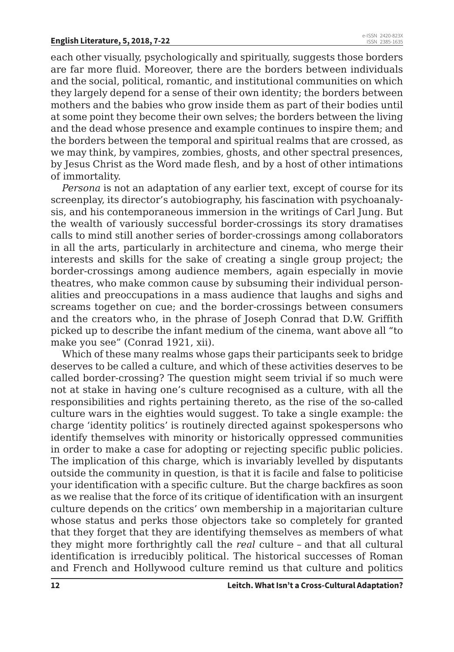each other visually, psychologically and spiritually, suggests those borders are far more fluid. Moreover, there are the borders between individuals and the social, political, romantic, and institutional communities on which they largely depend for a sense of their own identity; the borders between mothers and the babies who grow inside them as part of their bodies until at some point they become their own selves; the borders between the living and the dead whose presence and example continues to inspire them; and the borders between the temporal and spiritual realms that are crossed, as we may think, by vampires, zombies, ghosts, and other spectral presences, by Jesus Christ as the Word made flesh, and by a host of other intimations of immortality.

*Persona* is not an adaptation of any earlier text, except of course for its screenplay, its director's autobiography, his fascination with psychoanalysis, and his contemporaneous immersion in the writings of Carl Jung. But the wealth of variously successful border-crossings its story dramatises calls to mind still another series of border-crossings among collaborators in all the arts, particularly in architecture and cinema, who merge their interests and skills for the sake of creating a single group project; the border-crossings among audience members, again especially in movie theatres, who make common cause by subsuming their individual personalities and preoccupations in a mass audience that laughs and sighs and screams together on cue; and the border-crossings between consumers and the creators who, in the phrase of Joseph Conrad that D.W. Griffith picked up to describe the infant medium of the cinema, want above all "to make you see" (Conrad 1921, xii).

Which of these many realms whose gaps their participants seek to bridge deserves to be called a culture, and which of these activities deserves to be called border-crossing? The question might seem trivial if so much were not at stake in having one's culture recognised as a culture, with all the responsibilities and rights pertaining thereto, as the rise of the so-called culture wars in the eighties would suggest. To take a single example: the charge 'identity politics' is routinely directed against spokespersons who identify themselves with minority or historically oppressed communities in order to make a case for adopting or rejecting specific public policies. The implication of this charge, which is invariably levelled by disputants outside the community in question, is that it is facile and false to politicise your identification with a specific culture. But the charge backfires as soon as we realise that the force of its critique of identification with an insurgent culture depends on the critics' own membership in a majoritarian culture whose status and perks those objectors take so completely for granted that they forget that they are identifying themselves as members of what they might more forthrightly call the *real* culture – and that all cultural identification is irreducibly political. The historical successes of Roman and French and Hollywood culture remind us that culture and politics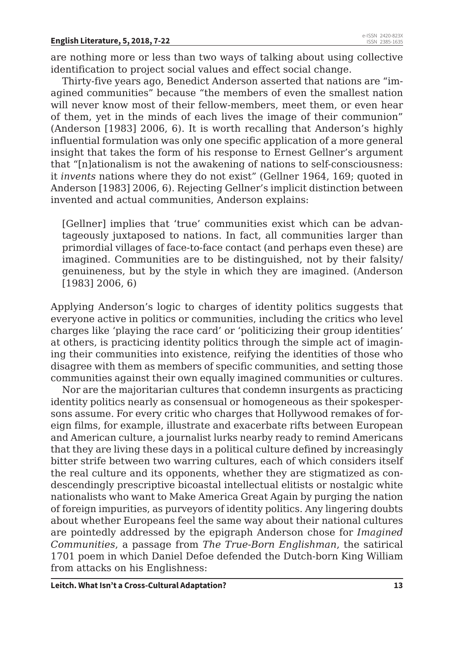are nothing more or less than two ways of talking about using collective identification to project social values and effect social change.

Thirty-five years ago, Benedict Anderson asserted that nations are "imagined communities" because "the members of even the smallest nation will never know most of their fellow-members, meet them, or even hear of them, yet in the minds of each lives the image of their communion" (Anderson [1983] 2006, 6). It is worth recalling that Anderson's highly influential formulation was only one specific application of a more general insight that takes the form of his response to Ernest Gellner's argument that "[n]ationalism is not the awakening of nations to self-consciousness: it *invents* nations where they do not exist" (Gellner 1964, 169; quoted in Anderson [1983] 2006, 6). Rejecting Gellner's implicit distinction between invented and actual communities, Anderson explains:

[Gellner] implies that 'true' communities exist which can be advantageously juxtaposed to nations. In fact, all communities larger than primordial villages of face-to-face contact (and perhaps even these) are imagined. Communities are to be distinguished, not by their falsity/ genuineness, but by the style in which they are imagined. (Anderson [1983] 2006, 6)

Applying Anderson's logic to charges of identity politics suggests that everyone active in politics or communities, including the critics who level charges like 'playing the race card' or 'politicizing their group identities' at others, is practicing identity politics through the simple act of imagining their communities into existence, reifying the identities of those who disagree with them as members of specific communities, and setting those communities against their own equally imagined communities or cultures.

Nor are the majoritarian cultures that condemn insurgents as practicing identity politics nearly as consensual or homogeneous as their spokespersons assume. For every critic who charges that Hollywood remakes of foreign films, for example, illustrate and exacerbate rifts between European and American culture, a journalist lurks nearby ready to remind Americans that they are living these days in a political culture defined by increasingly bitter strife between two warring cultures, each of which considers itself the real culture and its opponents, whether they are stigmatized as condescendingly prescriptive bicoastal intellectual elitists or nostalgic white nationalists who want to Make America Great Again by purging the nation of foreign impurities, as purveyors of identity politics. Any lingering doubts about whether Europeans feel the same way about their national cultures are pointedly addressed by the epigraph Anderson chose for *Imagined Communities*, a passage from *The True-Born Englishman*, the satirical 1701 poem in which Daniel Defoe defended the Dutch-born King William from attacks on his Englishness: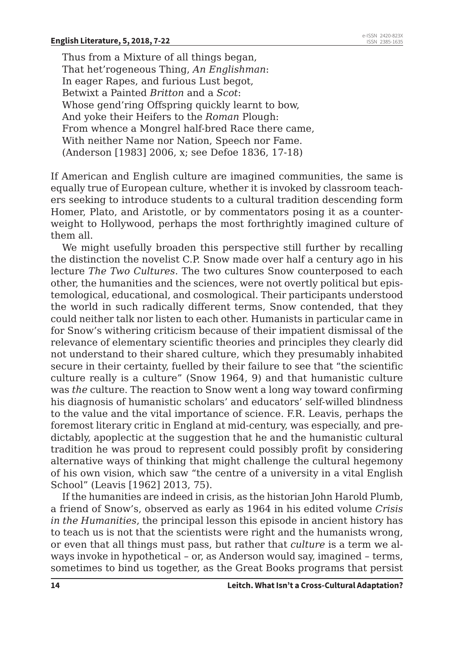Thus from a Mixture of all things began, That het'rogeneous Thing, *An Englishman*: In eager Rapes, and furious Lust begot, Betwixt a Painted *Britton* and a *Scot*: Whose gend'ring Offspring quickly learnt to bow, And yoke their Heifers to the *Roman* Plough: From whence a Mongrel half-bred Race there came, With neither Name nor Nation, Speech nor Fame. (Anderson [1983] 2006, x; see Defoe 1836, 17-18)

If American and English culture are imagined communities, the same is equally true of European culture, whether it is invoked by classroom teachers seeking to introduce students to a cultural tradition descending form Homer, Plato, and Aristotle, or by commentators posing it as a counterweight to Hollywood, perhaps the most forthrightly imagined culture of them all.

We might usefully broaden this perspective still further by recalling the distinction the novelist C.P. Snow made over half a century ago in his lecture *The Two Cultures*. The two cultures Snow counterposed to each other, the humanities and the sciences, were not overtly political but epistemological, educational, and cosmological. Their participants understood the world in such radically different terms, Snow contended, that they could neither talk nor listen to each other. Humanists in particular came in for Snow's withering criticism because of their impatient dismissal of the relevance of elementary scientific theories and principles they clearly did not understand to their shared culture, which they presumably inhabited secure in their certainty, fuelled by their failure to see that "the scientific culture really is a culture" (Snow 1964, 9) and that humanistic culture was *the* culture. The reaction to Snow went a long way toward confirming his diagnosis of humanistic scholars' and educators' self-willed blindness to the value and the vital importance of science. F.R. Leavis, perhaps the foremost literary critic in England at mid-century, was especially, and predictably, apoplectic at the suggestion that he and the humanistic cultural tradition he was proud to represent could possibly profit by considering alternative ways of thinking that might challenge the cultural hegemony of his own vision, which saw "the centre of a university in a vital English School" (Leavis [1962] 2013, 75).

If the humanities are indeed in crisis, as the historian John Harold Plumb, a friend of Snow's, observed as early as 1964 in his edited volume *Crisis in the Humanities*, the principal lesson this episode in ancient history has to teach us is not that the scientists were right and the humanists wrong, or even that all things must pass, but rather that *culture* is a term we always invoke in hypothetical – or, as Anderson would say, imagined – terms, sometimes to bind us together, as the Great Books programs that persist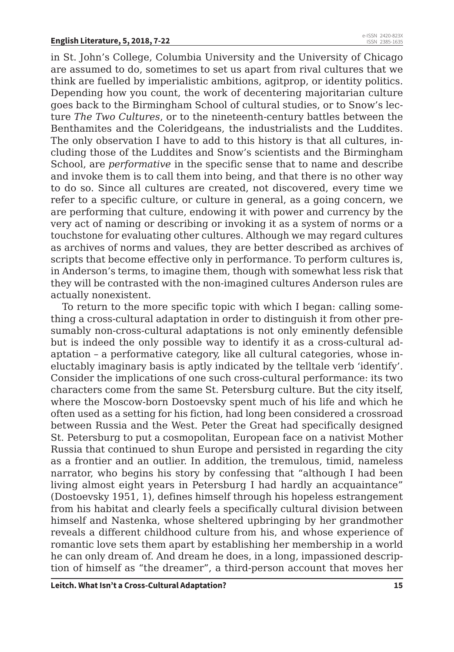in St. John's College, Columbia University and the University of Chicago are assumed to do, sometimes to set us apart from rival cultures that we think are fuelled by imperialistic ambitions, agitprop, or identity politics. Depending how you count, the work of decentering majoritarian culture goes back to the Birmingham School of cultural studies, or to Snow's lecture *The Two Cultures*, or to the nineteenth-century battles between the Benthamites and the Coleridgeans, the industrialists and the Luddites. The only observation I have to add to this history is that all cultures, including those of the Luddites and Snow's scientists and the Birmingham School, are *performative* in the specific sense that to name and describe and invoke them is to call them into being, and that there is no other way to do so. Since all cultures are created, not discovered, every time we refer to a specific culture, or culture in general, as a going concern, we are performing that culture, endowing it with power and currency by the very act of naming or describing or invoking it as a system of norms or a touchstone for evaluating other cultures. Although we may regard cultures as archives of norms and values, they are better described as archives of scripts that become effective only in performance. To perform cultures is, in Anderson's terms, to imagine them, though with somewhat less risk that they will be contrasted with the non-imagined cultures Anderson rules are actually nonexistent.

To return to the more specific topic with which I began: calling something a cross-cultural adaptation in order to distinguish it from other presumably non-cross-cultural adaptations is not only eminently defensible but is indeed the only possible way to identify it as a cross-cultural adaptation – a performative category, like all cultural categories, whose ineluctably imaginary basis is aptly indicated by the telltale verb 'identify'. Consider the implications of one such cross-cultural performance: its two characters come from the same St. Petersburg culture. But the city itself, where the Moscow-born Dostoevsky spent much of his life and which he often used as a setting for his fiction, had long been considered a crossroad between Russia and the West. Peter the Great had specifically designed St. Petersburg to put a cosmopolitan, European face on a nativist Mother Russia that continued to shun Europe and persisted in regarding the city as a frontier and an outlier. In addition, the tremulous, timid, nameless narrator, who begins his story by confessing that "although I had been living almost eight years in Petersburg I had hardly an acquaintance" (Dostoevsky 1951, 1), defines himself through his hopeless estrangement from his habitat and clearly feels a specifically cultural division between himself and Nastenka, whose sheltered upbringing by her grandmother reveals a different childhood culture from his, and whose experience of romantic love sets them apart by establishing her membership in a world he can only dream of. And dream he does, in a long, impassioned description of himself as "the dreamer", a third-person account that moves her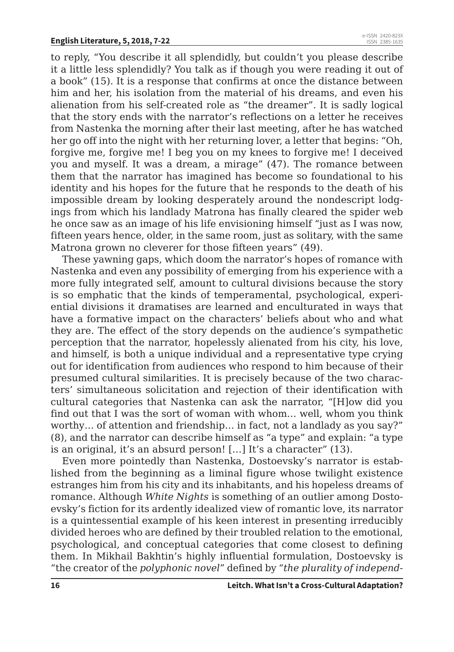to reply, "You describe it all splendidly, but couldn't you please describe it a little less splendidly? You talk as if though you were reading it out of a book" (15). It is a response that confirms at once the distance between him and her, his isolation from the material of his dreams, and even his alienation from his self-created role as "the dreamer". It is sadly logical that the story ends with the narrator's reflections on a letter he receives from Nastenka the morning after their last meeting, after he has watched her go off into the night with her returning lover, a letter that begins: "Oh, forgive me, forgive me! I beg you on my knees to forgive me! I deceived you and myself. It was a dream, a mirage" (47). The romance between them that the narrator has imagined has become so foundational to his identity and his hopes for the future that he responds to the death of his impossible dream by looking desperately around the nondescript lodgings from which his landlady Matrona has finally cleared the spider web he once saw as an image of his life envisioning himself "just as I was now, fifteen years hence, older, in the same room, just as solitary, with the same Matrona grown no cleverer for those fifteen years" (49).

These yawning gaps, which doom the narrator's hopes of romance with Nastenka and even any possibility of emerging from his experience with a more fully integrated self, amount to cultural divisions because the story is so emphatic that the kinds of temperamental, psychological, experiential divisions it dramatises are learned and enculturated in ways that have a formative impact on the characters' beliefs about who and what they are. The effect of the story depends on the audience's sympathetic perception that the narrator, hopelessly alienated from his city, his love, and himself, is both a unique individual and a representative type crying out for identification from audiences who respond to him because of their presumed cultural similarities. It is precisely because of the two characters' simultaneous solicitation and rejection of their identification with cultural categories that Nastenka can ask the narrator, "[H]ow did you find out that I was the sort of woman with whom… well, whom you think worthy… of attention and friendship… in fact, not a landlady as you say?" (8), and the narrator can describe himself as "a type" and explain: "a type is an original, it's an absurd person! […] It's a character" (13).

Even more pointedly than Nastenka, Dostoevsky's narrator is established from the beginning as a liminal figure whose twilight existence estranges him from his city and its inhabitants, and his hopeless dreams of romance. Although *White Nights* is something of an outlier among Dostoevsky's fiction for its ardently idealized view of romantic love, its narrator is a quintessential example of his keen interest in presenting irreducibly divided heroes who are defined by their troubled relation to the emotional, psychological, and conceptual categories that come closest to defining them. In Mikhail Bakhtin's highly influential formulation, Dostoevsky is "the creator of the *polyphonic novel*" defined by "*the plurality of independ-*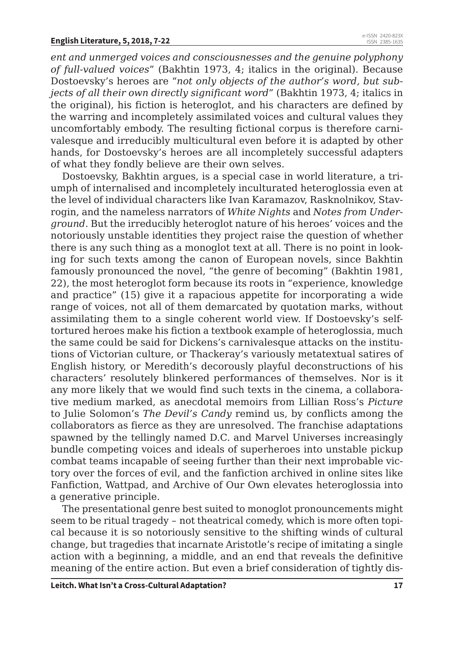*ent and unmerged voices and consciousnesses and the genuine polyphony of full-valued voices*" (Bakhtin 1973, 4; italics in the original). Because Dostoevsky's heroes are "*not only objects of the author's word, but subjects of all their own directly significant word*" (Bakhtin 1973, 4; italics in the original), his fiction is heteroglot, and his characters are defined by the warring and incompletely assimilated voices and cultural values they uncomfortably embody. The resulting fictional corpus is therefore carnivalesque and irreducibly multicultural even before it is adapted by other hands, for Dostoevsky's heroes are all incompletely successful adapters of what they fondly believe are their own selves.

Dostoevsky, Bakhtin argues, is a special case in world literature, a triumph of internalised and incompletely inculturated heteroglossia even at the level of individual characters like Ivan Karamazov, Rasknolnikov, Stavrogin, and the nameless narrators of *White Nights* and *Notes from Underground*. But the irreducibly heteroglot nature of his heroes' voices and the notoriously unstable identities they project raise the question of whether there is any such thing as a monoglot text at all. There is no point in looking for such texts among the canon of European novels, since Bakhtin famously pronounced the novel, "the genre of becoming" (Bakhtin 1981, 22), the most heteroglot form because its roots in "experience, knowledge and practice" (15) give it a rapacious appetite for incorporating a wide range of voices, not all of them demarcated by quotation marks, without assimilating them to a single coherent world view. If Dostoevsky's selftortured heroes make his fiction a textbook example of heteroglossia, much the same could be said for Dickens's carnivalesque attacks on the institutions of Victorian culture, or Thackeray's variously metatextual satires of English history, or Meredith's decorously playful deconstructions of his characters' resolutely blinkered performances of themselves. Nor is it any more likely that we would find such texts in the cinema, a collaborative medium marked, as anecdotal memoirs from Lillian Ross's *Picture*  to Julie Solomon's *The Devil's Candy* remind us, by conflicts among the collaborators as fierce as they are unresolved. The franchise adaptations spawned by the tellingly named D.C. and Marvel Universes increasingly bundle competing voices and ideals of superheroes into unstable pickup combat teams incapable of seeing further than their next improbable victory over the forces of evil, and the fanfiction archived in online sites like Fanfiction, Wattpad, and Archive of Our Own elevates heteroglossia into a generative principle.

The presentational genre best suited to monoglot pronouncements might seem to be ritual tragedy – not theatrical comedy, which is more often topical because it is so notoriously sensitive to the shifting winds of cultural change, but tragedies that incarnate Aristotle's recipe of imitating a single action with a beginning, a middle, and an end that reveals the definitive meaning of the entire action. But even a brief consideration of tightly dis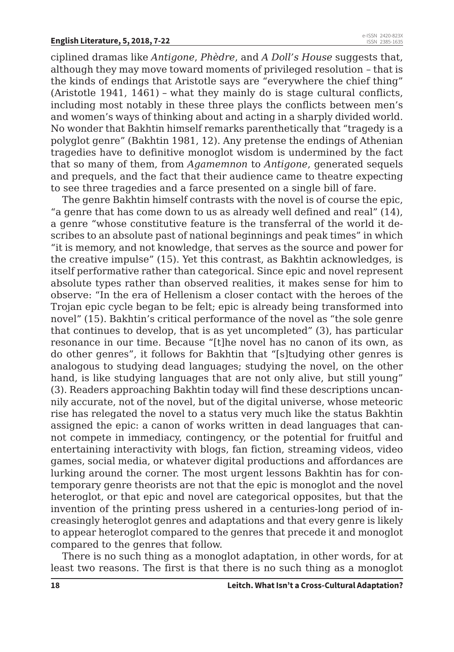ciplined dramas like *Antigone*, *Phèdre*, and *A Doll's House* suggests that, although they may move toward moments of privileged resolution – that is the kinds of endings that Aristotle says are "everywhere the chief thing" (Aristotle 1941, 1461) – what they mainly do is stage cultural conflicts, including most notably in these three plays the conflicts between men's and women's ways of thinking about and acting in a sharply divided world. No wonder that Bakhtin himself remarks parenthetically that "tragedy is a polyglot genre" (Bakhtin 1981, 12). Any pretense the endings of Athenian tragedies have to definitive monoglot wisdom is undermined by the fact that so many of them, from *Agamemnon* to *Antigone*, generated sequels and prequels, and the fact that their audience came to theatre expecting to see three tragedies and a farce presented on a single bill of fare.

The genre Bakhtin himself contrasts with the novel is of course the epic, "a genre that has come down to us as already well defined and real" (14), a genre "whose constitutive feature is the transferral of the world it describes to an absolute past of national beginnings and peak times" in which "it is memory, and not knowledge, that serves as the source and power for the creative impulse" (15). Yet this contrast, as Bakhtin acknowledges, is itself performative rather than categorical. Since epic and novel represent absolute types rather than observed realities, it makes sense for him to observe: "In the era of Hellenism a closer contact with the heroes of the Trojan epic cycle began to be felt; epic is already being transformed into novel" (15). Bakhtin's critical performance of the novel as "the sole genre that continues to develop, that is as yet uncompleted" (3), has particular resonance in our time. Because "[t]he novel has no canon of its own, as do other genres", it follows for Bakhtin that "[s]tudying other genres is analogous to studying dead languages; studying the novel, on the other hand, is like studying languages that are not only alive, but still young" (3). Readers approaching Bakhtin today will find these descriptions uncannily accurate, not of the novel, but of the digital universe, whose meteoric rise has relegated the novel to a status very much like the status Bakhtin assigned the epic: a canon of works written in dead languages that cannot compete in immediacy, contingency, or the potential for fruitful and entertaining interactivity with blogs, fan fiction, streaming videos, video games, social media, or whatever digital productions and affordances are lurking around the corner. The most urgent lessons Bakhtin has for contemporary genre theorists are not that the epic is monoglot and the novel heteroglot, or that epic and novel are categorical opposites, but that the invention of the printing press ushered in a centuries-long period of increasingly heteroglot genres and adaptations and that every genre is likely to appear heteroglot compared to the genres that precede it and monoglot compared to the genres that follow.

There is no such thing as a monoglot adaptation, in other words, for at least two reasons. The first is that there is no such thing as a monoglot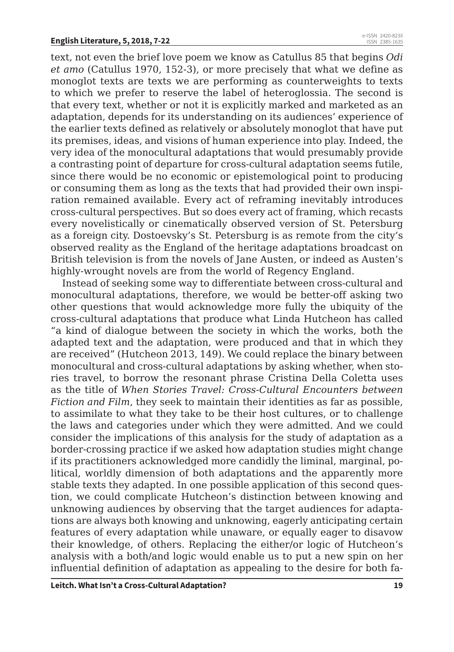text, not even the brief love poem we know as Catullus 85 that begins *Odi et amo* (Catullus 1970, 152-3), or more precisely that what we define as monoglot texts are texts we are performing as counterweights to texts to which we prefer to reserve the label of heteroglossia. The second is that every text, whether or not it is explicitly marked and marketed as an adaptation, depends for its understanding on its audiences' experience of the earlier texts defined as relatively or absolutely monoglot that have put its premises, ideas, and visions of human experience into play. Indeed, the very idea of the monocultural adaptations that would presumably provide a contrasting point of departure for cross-cultural adaptation seems futile, since there would be no economic or epistemological point to producing or consuming them as long as the texts that had provided their own inspiration remained available. Every act of reframing inevitably introduces cross-cultural perspectives. But so does every act of framing, which recasts every novelistically or cinematically observed version of St. Petersburg as a foreign city. Dostoevsky's St. Petersburg is as remote from the city's observed reality as the England of the heritage adaptations broadcast on British television is from the novels of Jane Austen, or indeed as Austen's highly-wrought novels are from the world of Regency England.

Instead of seeking some way to differentiate between cross-cultural and monocultural adaptations, therefore, we would be better-off asking two other questions that would acknowledge more fully the ubiquity of the cross-cultural adaptations that produce what Linda Hutcheon has called "a kind of dialogue between the society in which the works, both the adapted text and the adaptation, were produced and that in which they are received" (Hutcheon 2013, 149). We could replace the binary between monocultural and cross-cultural adaptations by asking whether, when stories travel, to borrow the resonant phrase Cristina Della Coletta uses as the title of *When Stories Travel: Cross-Cultural Encounters between Fiction and Film*, they seek to maintain their identities as far as possible, to assimilate to what they take to be their host cultures, or to challenge the laws and categories under which they were admitted. And we could consider the implications of this analysis for the study of adaptation as a border-crossing practice if we asked how adaptation studies might change if its practitioners acknowledged more candidly the liminal, marginal, political, worldly dimension of both adaptations and the apparently more stable texts they adapted. In one possible application of this second question, we could complicate Hutcheon's distinction between knowing and unknowing audiences by observing that the target audiences for adaptations are always both knowing and unknowing, eagerly anticipating certain features of every adaptation while unaware, or equally eager to disavow their knowledge, of others. Replacing the either/or logic of Hutcheon's analysis with a both/and logic would enable us to put a new spin on her influential definition of adaptation as appealing to the desire for both fa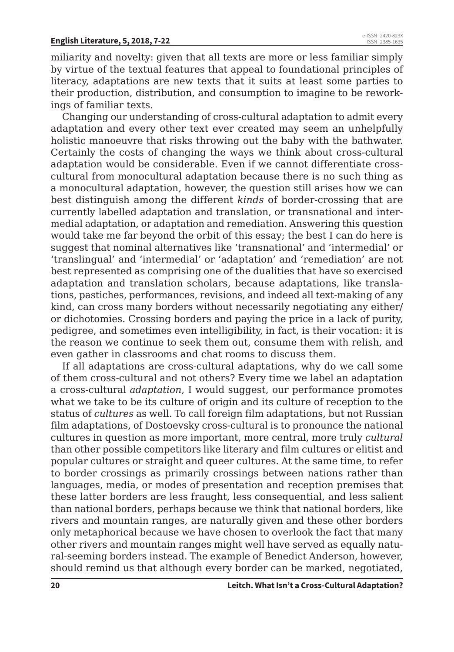miliarity and novelty: given that all texts are more or less familiar simply by virtue of the textual features that appeal to foundational principles of literacy, adaptations are new texts that it suits at least some parties to their production, distribution, and consumption to imagine to be reworkings of familiar texts.

Changing our understanding of cross-cultural adaptation to admit every adaptation and every other text ever created may seem an unhelpfully holistic manoeuvre that risks throwing out the baby with the bathwater. Certainly the costs of changing the ways we think about cross-cultural adaptation would be considerable. Even if we cannot differentiate crosscultural from monocultural adaptation because there is no such thing as a monocultural adaptation, however, the question still arises how we can best distinguish among the different *kinds* of border-crossing that are currently labelled adaptation and translation, or transnational and intermedial adaptation, or adaptation and remediation. Answering this question would take me far beyond the orbit of this essay; the best I can do here is suggest that nominal alternatives like 'transnational' and 'intermedial' or 'translingual' and 'intermedial' or 'adaptation' and 'remediation' are not best represented as comprising one of the dualities that have so exercised adaptation and translation scholars, because adaptations, like translations, pastiches, performances, revisions, and indeed all text-making of any kind, can cross many borders without necessarily negotiating any either/ or dichotomies. Crossing borders and paying the price in a lack of purity, pedigree, and sometimes even intelligibility, in fact, is their vocation: it is the reason we continue to seek them out, consume them with relish, and even gather in classrooms and chat rooms to discuss them.

If all adaptations are cross-cultural adaptations, why do we call some of them cross-cultural and not others? Every time we label an adaptation a cross-cultural *adaptation*, I would suggest, our performance promotes what we take to be its culture of origin and its culture of reception to the status of *cultures* as well. To call foreign film adaptations, but not Russian film adaptations, of Dostoevsky cross-cultural is to pronounce the national cultures in question as more important, more central, more truly *cultural*  than other possible competitors like literary and film cultures or elitist and popular cultures or straight and queer cultures. At the same time, to refer to border crossings as primarily crossings between nations rather than languages, media, or modes of presentation and reception premises that these latter borders are less fraught, less consequential, and less salient than national borders, perhaps because we think that national borders, like rivers and mountain ranges, are naturally given and these other borders only metaphorical because we have chosen to overlook the fact that many other rivers and mountain ranges might well have served as equally natural-seeming borders instead. The example of Benedict Anderson, however, should remind us that although every border can be marked, negotiated,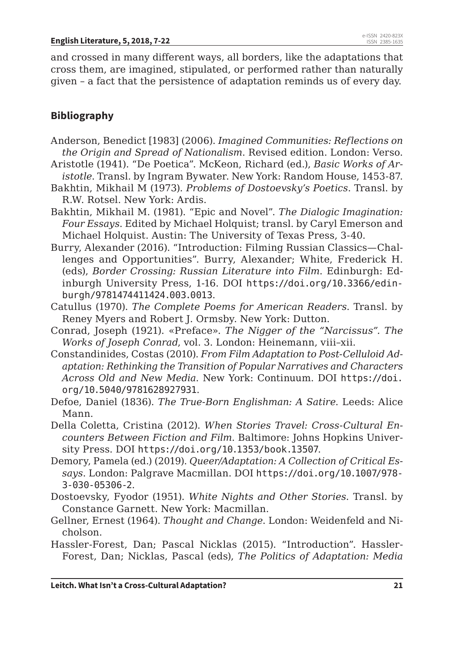and crossed in many different ways, all borders, like the adaptations that cross them, are imagined, stipulated, or performed rather than naturally given – a fact that the persistence of adaptation reminds us of every day.

## **Bibliography**

- Anderson, Benedict [1983] (2006). *Imagined Communities: Reflections on the Origin and Spread of Nationalism*. Revised edition. London: Verso.
- Aristotle (1941). "De Poetica". McKeon, Richard (ed.), *Basic Works of Aristotle*. Transl. by Ingram Bywater. New York: Random House, 1453-87.
- Bakhtin, Mikhail M (1973). *Problems of Dostoevsky's Poetics*. Transl. by R.W. Rotsel. New York: Ardis.
- Bakhtin, Mikhail M. (1981). "Epic and Novel". *The Dialogic Imagination: Four Essays*. Edited by Michael Holquist; transl. by Caryl Emerson and Michael Holquist. Austin: The University of Texas Press, 3-40.
- Burry, Alexander (2016). "Introduction: Filming Russian Classics—Challenges and Opportunities". Burry, Alexander; White, Frederick H. (eds), *Border Crossing: Russian Literature into Film*. Edinburgh: Edinburgh University Press, 1-16. DOI https://doi.org/10.3366/edinburgh/9781474411424.003.0013.
- Catullus (1970). *The Complete Poems for American Readers*. Transl. by Reney Myers and Robert J. Ormsby. New York: Dutton.
- Conrad, Joseph (1921). «Preface». *The Nigger of the "Narcissus". The Works of Joseph Conrad*, vol. 3. London: Heinemann, viii–xii.
- Constandinides, Costas (2010). *From Film Adaptation to Post-Celluloid Adaptation: Rethinking the Transition of Popular Narratives and Characters Across Old and New Media*. New York: Continuum. DOI https://doi. org/10.5040/9781628927931.
- Defoe, Daniel (1836). *The True-Born Englishman: A Satire*. Leeds: Alice Mann.
- Della Coletta, Cristina (2012). *When Stories Travel: Cross-Cultural Encounters Between Fiction and Film*. Baltimore: Johns Hopkins University Press. DOI https://doi.org/10.1353/book.13507.
- Demory, Pamela (ed.) (2019). *Queer/Adaptation: A Collection of Critical Essays*. London: Palgrave Macmillan. DOI https://doi.org/10.1007/978- 3-030-05306-2.
- Dostoevsky, Fyodor (1951). *White Nights and Other Stories*. Transl. by Constance Garnett. New York: Macmillan.
- Gellner, Ernest (1964). *Thought and Change*. London: Weidenfeld and Nicholson.
- Hassler-Forest, Dan; Pascal Nicklas (2015). "Introduction". Hassler-Forest, Dan; Nicklas, Pascal (eds), *The Politics of Adaptation: Media*